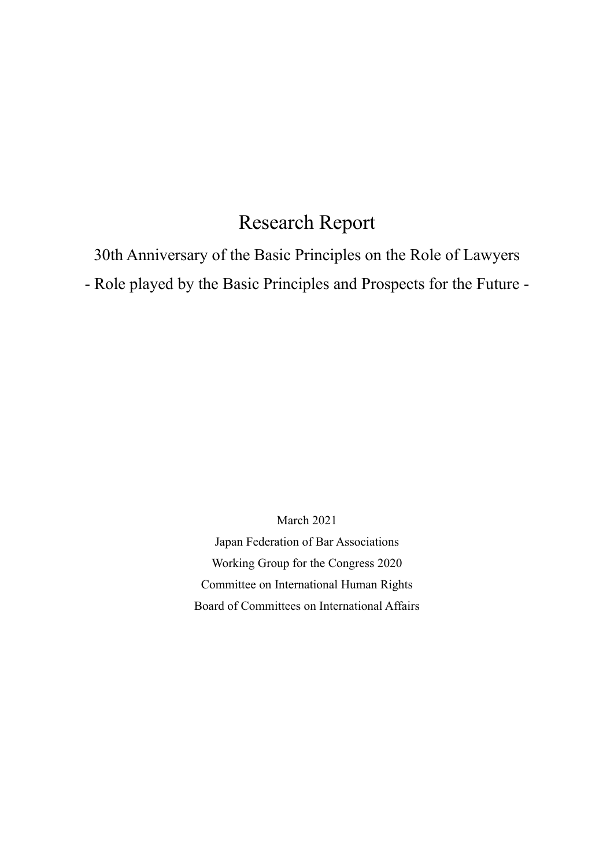# Research Report

30th Anniversary of the Basic Principles on the Role of Lawyers - Role played by the Basic Principles and Prospects for the Future -

March 2021

Japan Federation of Bar Associations Working Group for the Congress 2020 Committee on International Human Rights Board of Committees on International Affairs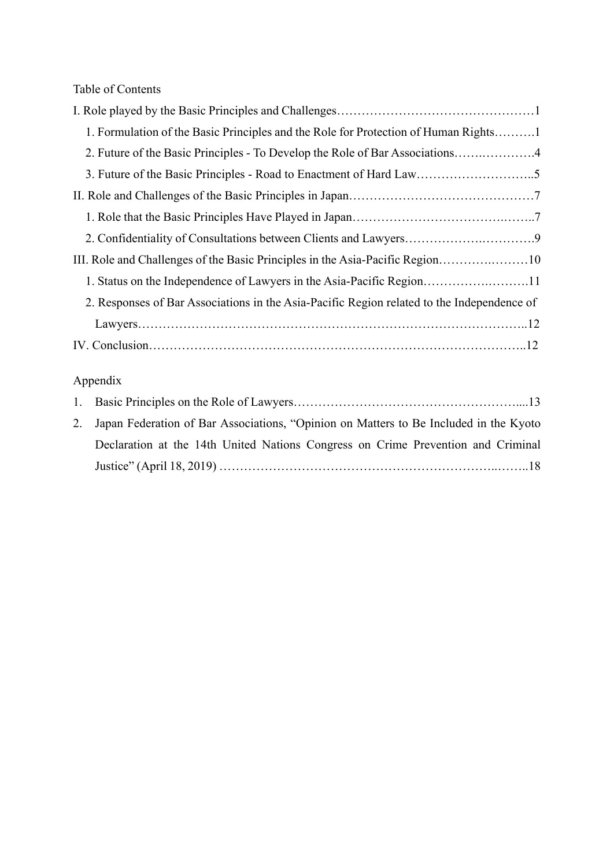Table of Contents

| 1. Formulation of the Basic Principles and the Role for Protection of Human Rights1        |
|--------------------------------------------------------------------------------------------|
| 2. Future of the Basic Principles - To Develop the Role of Bar Associations4               |
|                                                                                            |
|                                                                                            |
|                                                                                            |
|                                                                                            |
| III. Role and Challenges of the Basic Principles in the Asia-Pacific Region10              |
| 1. Status on the Independence of Lawyers in the Asia-Pacific Region11                      |
| 2. Responses of Bar Associations in the Asia-Pacific Region related to the Independence of |
|                                                                                            |
|                                                                                            |

## Appendix

| 2. Japan Federation of Bar Associations, "Opinion on Matters to Be Included in the Kyoto |
|------------------------------------------------------------------------------------------|
| Declaration at the 14th United Nations Congress on Crime Prevention and Criminal         |
|                                                                                          |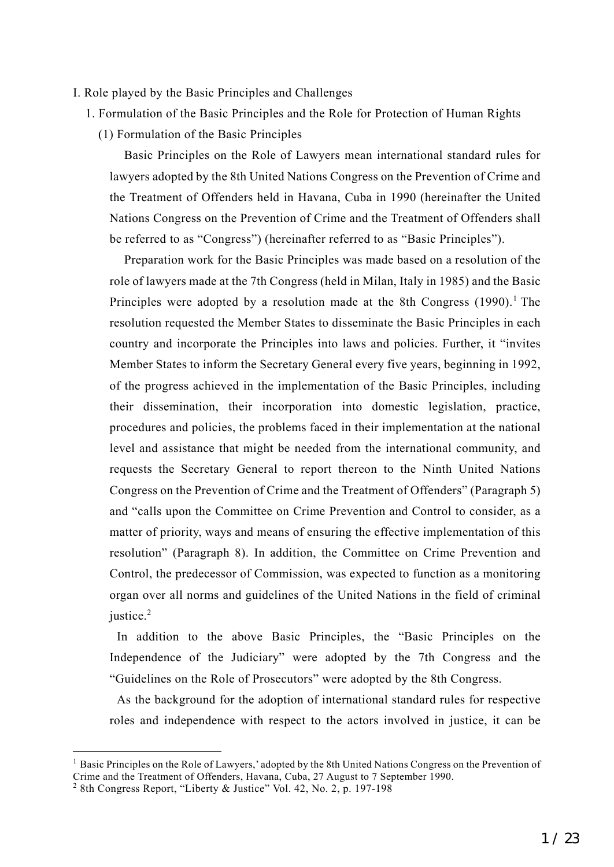- I. Role played by the Basic Principles and Challenges
	- 1. Formulation of the Basic Principles and the Role for Protection of Human Rights
		- (1) Formulation of the Basic Principles

Basic Principles on the Role of Lawyers mean international standard rules for lawyers adopted by the 8th United Nations Congress on the Prevention of Crime and the Treatment of Offenders held in Havana, Cuba in 1990 (hereinafter the United Nations Congress on the Prevention of Crime and the Treatment of Offenders shall be referred to as "Congress") (hereinafter referred to as "Basic Principles").

Preparation work for the Basic Principles was made based on a resolution of the role of lawyers made at the 7th Congress (held in Milan, Italy in 1985) and the Basic Principles were adopted by a resolution made at the 8th Congress  $(1990)$ .<sup>1</sup> The resolution requested the Member States to disseminate the Basic Principles in each country and incorporate the Principles into laws and policies. Further, it "invites Member States to inform the Secretary General every five years, beginning in 1992, of the progress achieved in the implementation of the Basic Principles, including their dissemination, their incorporation into domestic legislation, practice, procedures and policies, the problems faced in their implementation at the national level and assistance that might be needed from the international community, and requests the Secretary General to report thereon to the Ninth United Nations Congress on the Prevention of Crime and the Treatment of Offenders" (Paragraph 5) and "calls upon the Committee on Crime Prevention and Control to consider, as a matter of priority, ways and means of ensuring the effective implementation of this resolution" (Paragraph 8). In addition, the Committee on Crime Prevention and Control, the predecessor of Commission, was expected to function as a monitoring organ over all norms and guidelines of the United Nations in the field of criminal justice.<sup>2</sup>

In addition to the above Basic Principles, the "Basic Principles on the Independence of the Judiciary" were adopted by the 7th Congress and the "Guidelines on the Role of Prosecutors" were adopted by the 8th Congress.

As the background for the adoption of international standard rules for respective roles and independence with respect to the actors involved in justice, it can be

<sup>&</sup>lt;sup>1</sup> Basic Principles on the Role of Lawyers,' adopted by the 8th United Nations Congress on the Prevention of Crime and the Treatment of Offenders, Havana, Cuba, 27 August to 7 September 1990.

<sup>&</sup>lt;sup>2</sup> 8th Congress Report, "Liberty & Justice" Vol. 42, No. 2, p. 197-198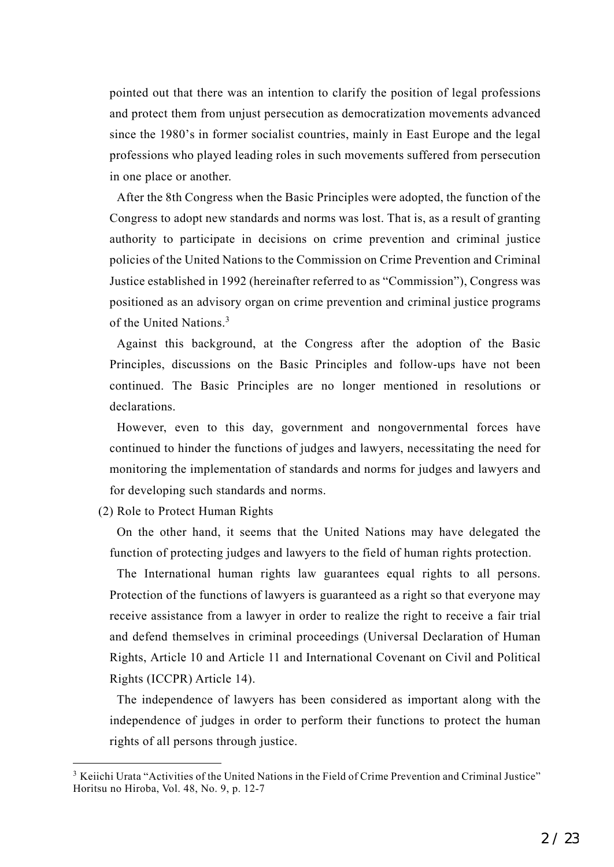pointed out that there was an intention to clarify the position of legal professions and protect them from unjust persecution as democratization movements advanced since the 1980's in former socialist countries, mainly in East Europe and the legal professions who played leading roles in such movements suffered from persecution in one place or another.

After the 8th Congress when the Basic Principles were adopted, the function of the Congress to adopt new standards and norms was lost. That is, as a result of granting authority to participate in decisions on crime prevention and criminal justice policies of the United Nations to the Commission on Crime Prevention and Criminal Justice established in 1992 (hereinafter referred to as "Commission"), Congress was positioned as an advisory organ on crime prevention and criminal justice programs of the United Nations.<sup>3</sup>

Against this background, at the Congress after the adoption of the Basic Principles, discussions on the Basic Principles and follow-ups have not been continued. The Basic Principles are no longer mentioned in resolutions or declarations.

However, even to this day, government and nongovernmental forces have continued to hinder the functions of judges and lawyers, necessitating the need for monitoring the implementation of standards and norms for judges and lawyers and for developing such standards and norms.

(2) Role to Protect Human Rights

l,

On the other hand, it seems that the United Nations may have delegated the function of protecting judges and lawyers to the field of human rights protection.

The International human rights law guarantees equal rights to all persons. Protection of the functions of lawyers is guaranteed as a right so that everyone may receive assistance from a lawyer in order to realize the right to receive a fair trial and defend themselves in criminal proceedings (Universal Declaration of Human Rights, Article 10 and Article 11 and International Covenant on Civil and Political Rights (ICCPR) Article 14).

The independence of lawyers has been considered as important along with the independence of judges in order to perform their functions to protect the human rights of all persons through justice.

<sup>&</sup>lt;sup>3</sup> Keiichi Urata "Activities of the United Nations in the Field of Crime Prevention and Criminal Justice" Horitsu no Hiroba, Vol. 48, No. 9, p. 12-7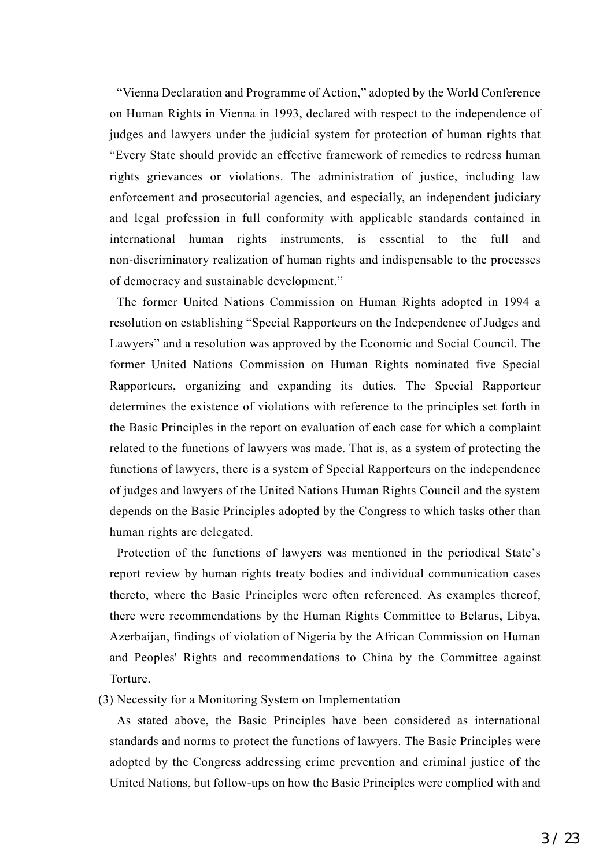"Vienna Declaration and Programme of Action," adopted by the World Conference on Human Rights in Vienna in 1993, declared with respect to the independence of judges and lawyers under the judicial system for protection of human rights that "Every State should provide an effective framework of remedies to redress human rights grievances or violations. The administration of justice, including law enforcement and prosecutorial agencies, and especially, an independent judiciary and legal profession in full conformity with applicable standards contained in international human rights instruments, is essential to the full and non-discriminatory realization of human rights and indispensable to the processes of democracy and sustainable development."

The former United Nations Commission on Human Rights adopted in 1994 a resolution on establishing "Special Rapporteurs on the Independence of Judges and Lawyers" and a resolution was approved by the Economic and Social Council. The former United Nations Commission on Human Rights nominated five Special Rapporteurs, organizing and expanding its duties. The Special Rapporteur determines the existence of violations with reference to the principles set forth in the Basic Principles in the report on evaluation of each case for which a complaint related to the functions of lawyers was made. That is, as a system of protecting the functions of lawyers, there is a system of Special Rapporteurs on the independence of judges and lawyers of the United Nations Human Rights Council and the system depends on the Basic Principles adopted by the Congress to which tasks other than human rights are delegated.

Protection of the functions of lawyers was mentioned in the periodical State's report review by human rights treaty bodies and individual communication cases thereto, where the Basic Principles were often referenced. As examples thereof, there were recommendations by the Human Rights Committee to Belarus, Libya, Azerbaijan, findings of violation of Nigeria by the African Commission on Human and Peoples' Rights and recommendations to China by the Committee against Torture.

(3) Necessity for a Monitoring System on Implementation

As stated above, the Basic Principles have been considered as international standards and norms to protect the functions of lawyers. The Basic Principles were adopted by the Congress addressing crime prevention and criminal justice of the United Nations, but follow-ups on how the Basic Principles were complied with and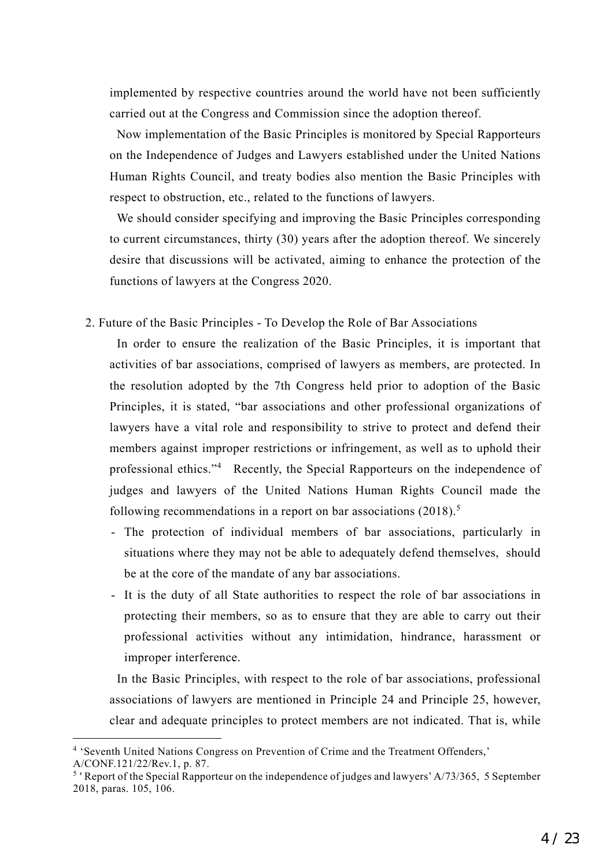implemented by respective countries around the world have not been sufficiently carried out at the Congress and Commission since the adoption thereof.

Now implementation of the Basic Principles is monitored by Special Rapporteurs on the Independence of Judges and Lawyers established under the United Nations Human Rights Council, and treaty bodies also mention the Basic Principles with respect to obstruction, etc., related to the functions of lawyers.

We should consider specifying and improving the Basic Principles corresponding to current circumstances, thirty (30) years after the adoption thereof. We sincerely desire that discussions will be activated, aiming to enhance the protection of the functions of lawyers at the Congress 2020.

2. Future of the Basic Principles - To Develop the Role of Bar Associations

In order to ensure the realization of the Basic Principles, it is important that activities of bar associations, comprised of lawyers as members, are protected. In the resolution adopted by the 7th Congress held prior to adoption of the Basic Principles, it is stated, "bar associations and other professional organizations of lawyers have a vital role and responsibility to strive to protect and defend their members against improper restrictions or infringement, as well as to uphold their professional ethics." 4 Recently, the Special Rapporteurs on the independence of judges and lawyers of the United Nations Human Rights Council made the following recommendations in a report on bar associations  $(2018).$ <sup>5</sup>

- The protection of individual members of bar associations, particularly in situations where they may not be able to adequately defend themselves, should be at the core of the mandate of any bar associations.
- It is the duty of all State authorities to respect the role of bar associations in protecting their members, so as to ensure that they are able to carry out their professional activities without any intimidation, hindrance, harassment or improper interference.

In the Basic Principles, with respect to the role of bar associations, professional associations of lawyers are mentioned in Principle 24 and Principle 25, however, clear and adequate principles to protect members are not indicated. That is, while

<sup>&</sup>lt;sup>4</sup> 'Seventh United Nations Congress on Prevention of Crime and the Treatment Offenders,' A/CONF.121/22/Rev.1, p. 87.

 $<sup>5</sup>$  'Report of the Special Rapporteur on the independence of judges and lawyers' A/73/365, 5 September</sup> 2018, paras. 105, 106.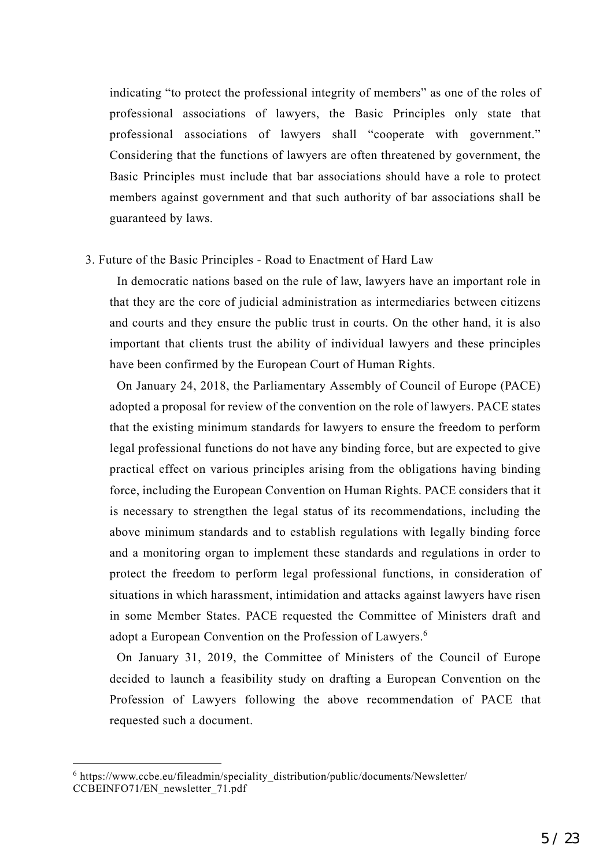indicating "to protect the professional integrity of members" as one of the roles of professional associations of lawyers, the Basic Principles only state that professional associations of lawyers shall "cooperate with government." Considering that the functions of lawyers are often threatened by government, the Basic Principles must include that bar associations should have a role to protect members against government and that such authority of bar associations shall be guaranteed by laws.

#### 3. Future of the Basic Principles - Road to Enactment of Hard Law

In democratic nations based on the rule of law, lawyers have an important role in that they are the core of judicial administration as intermediaries between citizens and courts and they ensure the public trust in courts. On the other hand, it is also important that clients trust the ability of individual lawyers and these principles have been confirmed by the European Court of Human Rights.

On January 24, 2018, the Parliamentary Assembly of Council of Europe (PACE) adopted a proposal for review of the convention on the role of lawyers. PACE states that the existing minimum standards for lawyers to ensure the freedom to perform legal professional functions do not have any binding force, but are expected to give practical effect on various principles arising from the obligations having binding force, including the European Convention on Human Rights. PACE considers that it is necessary to strengthen the legal status of its recommendations, including the above minimum standards and to establish regulations with legally binding force and a monitoring organ to implement these standards and regulations in order to protect the freedom to perform legal professional functions, in consideration of situations in which harassment, intimidation and attacks against lawyers have risen in some Member States. PACE requested the Committee of Ministers draft and adopt a European Convention on the Profession of Lawyers.<sup>6</sup>

On January 31, 2019, the Committee of Ministers of the Council of Europe decided to launch a feasibility study on drafting a European Convention on the Profession of Lawyers following the above recommendation of PACE that requested such a document.

<sup>&</sup>lt;sup>6</sup> https://www.ccbe.eu/fileadmin/speciality distribution/public/documents/Newsletter/ CCBEINFO71/EN\_newsletter\_71.pdf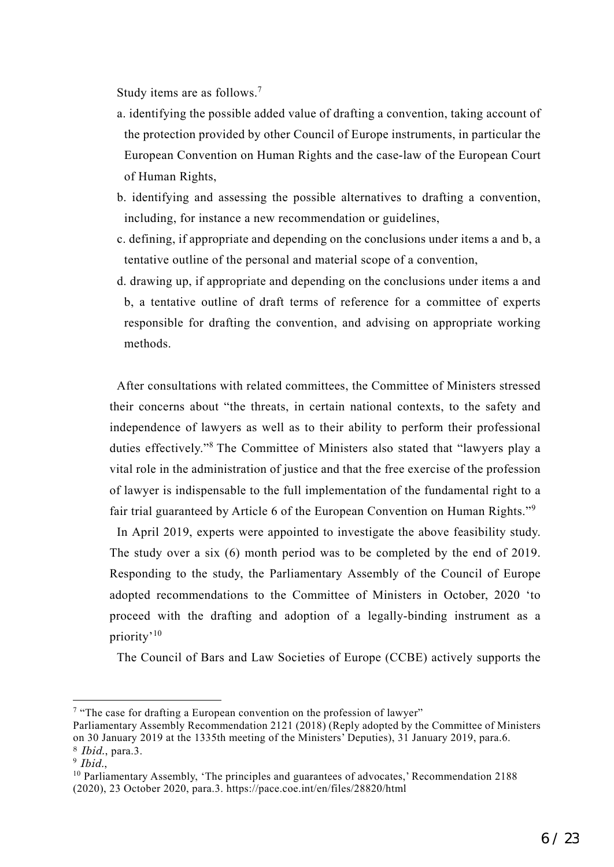Study items are as follows.<sup>7</sup>

- a. identifying the possible added value of drafting a convention, taking account of the protection provided by other Council of Europe instruments, in particular the European Convention on Human Rights and the case-law of the European Court of Human Rights,
- b. identifying and assessing the possible alternatives to drafting a convention, including, for instance a new recommendation or guidelines,
- c. defining, if appropriate and depending on the conclusions under items a and b, a tentative outline of the personal and material scope of a convention,
- d. drawing up, if appropriate and depending on the conclusions under items a and b, a tentative outline of draft terms of reference for a committee of experts responsible for drafting the convention, and advising on appropriate working methods.

After consultations with related committees, the Committee of Ministers stressed their concerns about "the threats, in certain national contexts, to the safety and independence of lawyers as well as to their ability to perform their professional duties effectively."<sup>8</sup> The Committee of Ministers also stated that "lawyers play a vital role in the administration of justice and that the free exercise of the profession of lawyer is indispensable to the full implementation of the fundamental right to a fair trial guaranteed by Article 6 of the European Convention on Human Rights."<sup>9</sup>

In April 2019, experts were appointed to investigate the above feasibility study. The study over a six (6) month period was to be completed by the end of 2019. Responding to the study, the Parliamentary Assembly of the Council of Europe adopted recommendations to the Committee of Ministers in October, 2020 'to proceed with the drafting and adoption of a legally-binding instrument as a priority'<sup>10</sup>

The Council of Bars and Law Societies of Europe (CCBE) actively supports the

<sup>&</sup>lt;sup>7</sup> "The case for drafting a European convention on the profession of lawyer"

Parliamentary Assembly Recommendation 2121 (2018) (Reply adopted by the Committee of Ministers on 30 January 2019 at the 1335th meeting of the Ministers' Deputies), 31 January 2019, para.6. <sup>8</sup> Ibid., para.3.

 $9$  Ibid.,

<sup>&</sup>lt;sup>10</sup> Parliamentary Assembly, 'The principles and guarantees of advocates,' Recommendation 2188 (2020), 23 October 2020, para.3. https://pace.coe.int/en/files/28820/html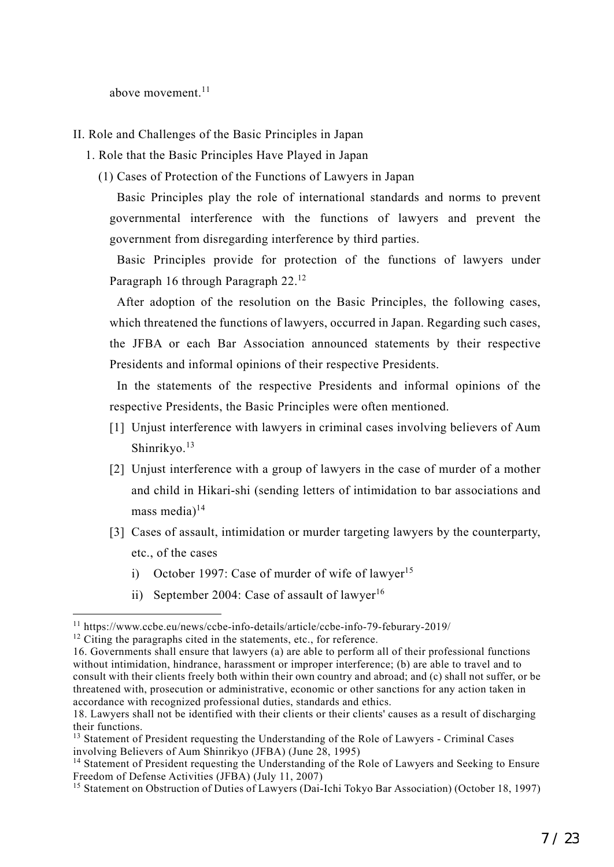above movement. $11$ 

- II. Role and Challenges of the Basic Principles in Japan
	- 1. Role that the Basic Principles Have Played in Japan
		- (1) Cases of Protection of the Functions of Lawyers in Japan

Basic Principles play the role of international standards and norms to prevent governmental interference with the functions of lawyers and prevent the government from disregarding interference by third parties.

Basic Principles provide for protection of the functions of lawyers under Paragraph 16 through Paragraph 22.<sup>12</sup>

After adoption of the resolution on the Basic Principles, the following cases, which threatened the functions of lawyers, occurred in Japan. Regarding such cases, the JFBA or each Bar Association announced statements by their respective Presidents and informal opinions of their respective Presidents.

In the statements of the respective Presidents and informal opinions of the respective Presidents, the Basic Principles were often mentioned.

- [1] Unjust interference with lawyers in criminal cases involving believers of Aum Shinrikyo.<sup>13</sup>
- [2] Unjust interference with a group of lawyers in the case of murder of a mother and child in Hikari-shi (sending letters of intimidation to bar associations and mass media) $14$
- [3] Cases of assault, intimidation or murder targeting lawyers by the counterparty, etc., of the cases
	- i) October 1997: Case of murder of wife of lawyer<sup>15</sup>
	- ii) September 2004: Case of assault of lawyer<sup>16</sup>

<sup>11</sup> https://www.ccbe.eu/news/ccbe-info-details/article/ccbe-info-79-feburary-2019/

 $12$  Citing the paragraphs cited in the statements, etc., for reference.

<sup>16.</sup> Governments shall ensure that lawyers (a) are able to perform all of their professional functions without intimidation, hindrance, harassment or improper interference; (b) are able to travel and to consult with their clients freely both within their own country and abroad; and (c) shall not suffer, or be threatened with, prosecution or administrative, economic or other sanctions for any action taken in accordance with recognized professional duties, standards and ethics.

<sup>18.</sup> Lawyers shall not be identified with their clients or their clients' causes as a result of discharging their functions.

<sup>&</sup>lt;sup>13</sup> Statement of President requesting the Understanding of the Role of Lawyers - Criminal Cases involving Believers of Aum Shinrikyo (JFBA) (June 28, 1995)

<sup>&</sup>lt;sup>14</sup> Statement of President requesting the Understanding of the Role of Lawyers and Seeking to Ensure Freedom of Defense Activities (JFBA) (July 11, 2007)

<sup>&</sup>lt;sup>15</sup> Statement on Obstruction of Duties of Lawyers (Dai-Ichi Tokyo Bar Association) (October 18, 1997)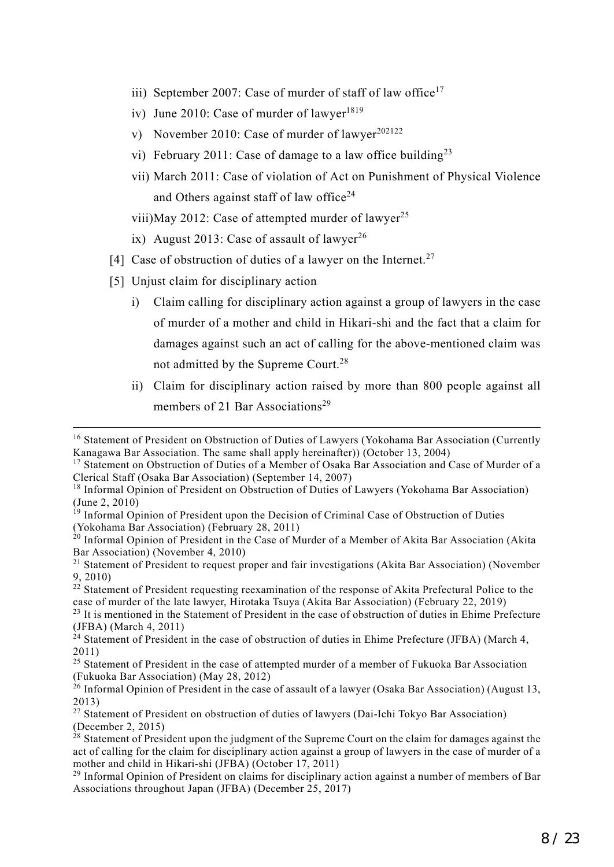- iii) September 2007: Case of murder of staff of law office<sup>17</sup>
- iv) June 2010: Case of murder of lawyer<sup>1819</sup>
- v) November 2010: Case of murder of lawyer $20^{202122}$
- vi) February 2011: Case of damage to a law office building<sup>23</sup>
- vii) March 2011: Case of violation of Act on Punishment of Physical Violence and Others against staff of law office<sup>24</sup>
- viii)May 2012: Case of attempted murder of lawyer<sup>25</sup>
- ix) August 2013: Case of assault of lawyer<sup>26</sup>
- [4] Case of obstruction of duties of a lawyer on the Internet.<sup>27</sup>
- [5] Unjust claim for disciplinary action

- i) Claim calling for disciplinary action against a group of lawyers in the case of murder of a mother and child in Hikari-shi and the fact that a claim for damages against such an act of calling for the above-mentioned claim was not admitted by the Supreme Court.<sup>28</sup>
- ii) Claim for disciplinary action raised by more than 800 people against all members of 21 Bar Associations<sup>29</sup>

<sup>&</sup>lt;sup>16</sup> Statement of President on Obstruction of Duties of Lawyers (Yokohama Bar Association (Currently Kanagawa Bar Association. The same shall apply hereinafter)) (October 13, 2004)

<sup>&</sup>lt;sup>17</sup> Statement on Obstruction of Duties of a Member of Osaka Bar Association and Case of Murder of a Clerical Staff (Osaka Bar Association) (September 14, 2007)

<sup>&</sup>lt;sup>18</sup> Informal Opinion of President on Obstruction of Duties of Lawyers (Yokohama Bar Association) (June 2, 2010)

<sup>&</sup>lt;sup>19</sup> Informal Opinion of President upon the Decision of Criminal Case of Obstruction of Duties (Yokohama Bar Association) (February 28, 2011)

<sup>&</sup>lt;sup>20</sup> Informal Opinion of President in the Case of Murder of a Member of Akita Bar Association (Akita Bar Association) (November 4, 2010)

<sup>&</sup>lt;sup>21</sup> Statement of President to request proper and fair investigations (Akita Bar Association) (November 9, 2010)

<sup>&</sup>lt;sup>22</sup> Statement of President requesting reexamination of the response of Akita Prefectural Police to the case of murder of the late lawyer, Hirotaka Tsuya (Akita Bar Association) (February 22, 2019)

<sup>&</sup>lt;sup>23</sup> It is mentioned in the Statement of President in the case of obstruction of duties in Ehime Prefecture (JFBA) (March 4, 2011)

 $^{24}$  Statement of President in the case of obstruction of duties in Ehime Prefecture (JFBA) (March 4, 2011)

<sup>&</sup>lt;sup>25</sup> Statement of President in the case of attempted murder of a member of Fukuoka Bar Association (Fukuoka Bar Association) (May 28, 2012)

<sup>&</sup>lt;sup>26</sup> Informal Opinion of President in the case of assault of a lawyer (Osaka Bar Association) (August 13, 2013)

 $27$  Statement of President on obstruction of duties of lawyers (Dai-Ichi Tokyo Bar Association) (December 2, 2015)

 $28$  Statement of President upon the judgment of the Supreme Court on the claim for damages against the act of calling for the claim for disciplinary action against a group of lawyers in the case of murder of a mother and child in Hikari-shi (JFBA) (October 17, 2011)

<sup>&</sup>lt;sup>29</sup> Informal Opinion of President on claims for disciplinary action against a number of members of Bar Associations throughout Japan (JFBA) (December 25, 2017)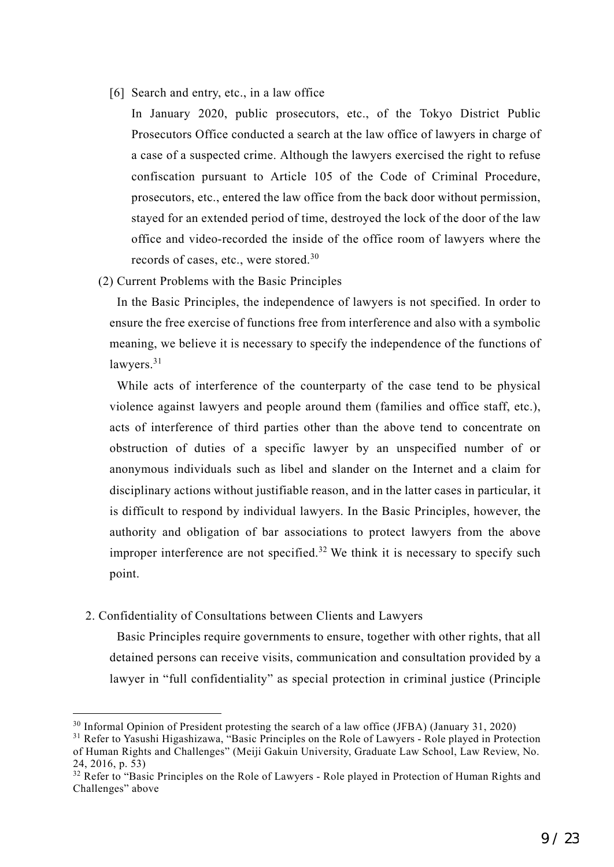- [6] Search and entry, etc., in a law office
	- In January 2020, public prosecutors, etc., of the Tokyo District Public Prosecutors Office conducted a search at the law office of lawyers in charge of a case of a suspected crime. Although the lawyers exercised the right to refuse confiscation pursuant to Article 105 of the Code of Criminal Procedure, prosecutors, etc., entered the law office from the back door without permission, stayed for an extended period of time, destroyed the lock of the door of the law office and video-recorded the inside of the office room of lawyers where the records of cases, etc., were stored.<sup>30</sup>
- (2) Current Problems with the Basic Principles

In the Basic Principles, the independence of lawyers is not specified. In order to ensure the free exercise of functions free from interference and also with a symbolic meaning, we believe it is necessary to specify the independence of the functions of lawyers.<sup>31</sup>

While acts of interference of the counterparty of the case tend to be physical violence against lawyers and people around them (families and office staff, etc.), acts of interference of third parties other than the above tend to concentrate on obstruction of duties of a specific lawyer by an unspecified number of or anonymous individuals such as libel and slander on the Internet and a claim for disciplinary actions without justifiable reason, and in the latter cases in particular, it is difficult to respond by individual lawyers. In the Basic Principles, however, the authority and obligation of bar associations to protect lawyers from the above improper interference are not specified.<sup>32</sup> We think it is necessary to specify such point.

2. Confidentiality of Consultations between Clients and Lawyers

l,

Basic Principles require governments to ensure, together with other rights, that all detained persons can receive visits, communication and consultation provided by a lawyer in "full confidentiality" as special protection in criminal justice (Principle

<sup>31</sup> Refer to Yasushi Higashizawa, "Basic Principles on the Role of Lawyers - Role played in Protection of Human Rights and Challenges" (Meiji Gakuin University, Graduate Law School, Law Review, No. 24, 2016, p. 53)

<sup>&</sup>lt;sup>30</sup> Informal Opinion of President protesting the search of a law office (JFBA) (January 31, 2020)

<sup>&</sup>lt;sup>32</sup> Refer to "Basic Principles on the Role of Lawyers - Role played in Protection of Human Rights and Challenges" above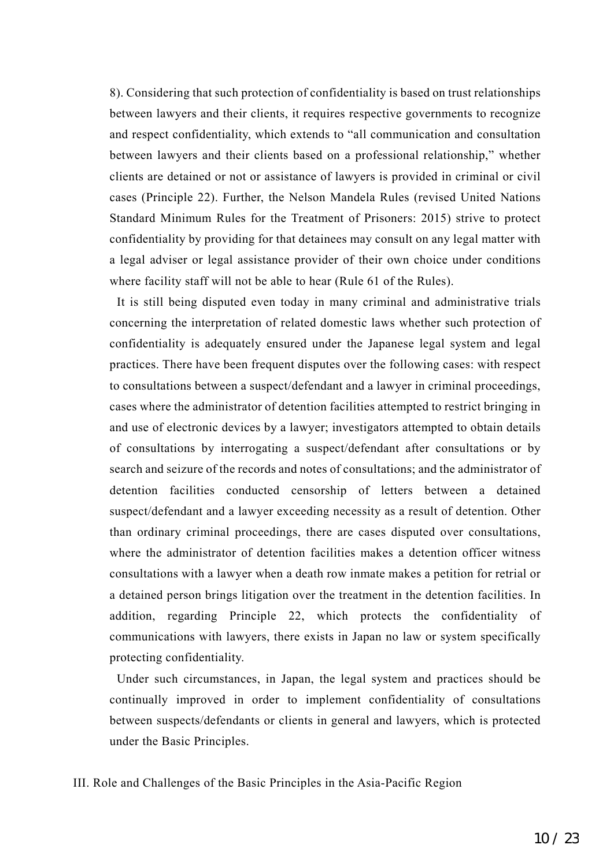8). Considering that such protection of confidentiality is based on trust relationships between lawyers and their clients, it requires respective governments to recognize and respect confidentiality, which extends to "all communication and consultation between lawyers and their clients based on a professional relationship," whether clients are detained or not or assistance of lawyers is provided in criminal or civil cases (Principle 22). Further, the Nelson Mandela Rules (revised United Nations Standard Minimum Rules for the Treatment of Prisoners: 2015) strive to protect confidentiality by providing for that detainees may consult on any legal matter with a legal adviser or legal assistance provider of their own choice under conditions where facility staff will not be able to hear (Rule 61 of the Rules).

It is still being disputed even today in many criminal and administrative trials concerning the interpretation of related domestic laws whether such protection of confidentiality is adequately ensured under the Japanese legal system and legal practices. There have been frequent disputes over the following cases: with respect to consultations between a suspect/defendant and a lawyer in criminal proceedings, cases where the administrator of detention facilities attempted to restrict bringing in and use of electronic devices by a lawyer; investigators attempted to obtain details of consultations by interrogating a suspect/defendant after consultations or by search and seizure of the records and notes of consultations; and the administrator of detention facilities conducted censorship of letters between a detained suspect/defendant and a lawyer exceeding necessity as a result of detention. Other than ordinary criminal proceedings, there are cases disputed over consultations, where the administrator of detention facilities makes a detention officer witness consultations with a lawyer when a death row inmate makes a petition for retrial or a detained person brings litigation over the treatment in the detention facilities. In addition, regarding Principle 22, which protects the confidentiality of communications with lawyers, there exists in Japan no law or system specifically protecting confidentiality.

Under such circumstances, in Japan, the legal system and practices should be continually improved in order to implement confidentiality of consultations between suspects/defendants or clients in general and lawyers, which is protected under the Basic Principles.

III. Role and Challenges of the Basic Principles in the Asia-Pacific Region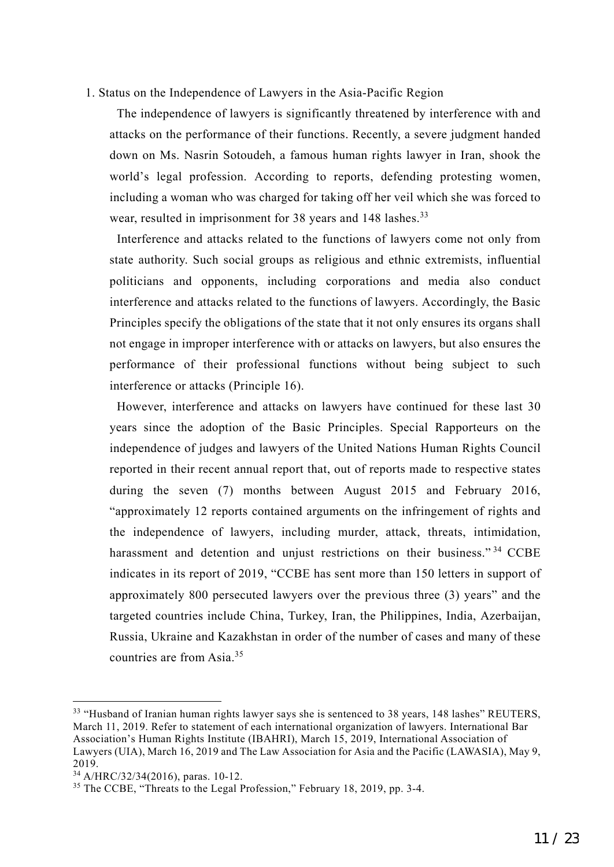#### 1. Status on the Independence of Lawyers in the Asia-Pacific Region

The independence of lawyers is significantly threatened by interference with and attacks on the performance of their functions. Recently, a severe judgment handed down on Ms. Nasrin Sotoudeh, a famous human rights lawyer in Iran, shook the world's legal profession. According to reports, defending protesting women, including a woman who was charged for taking off her veil which she was forced to wear, resulted in imprisonment for 38 years and 148 lashes.<sup>33</sup>

Interference and attacks related to the functions of lawyers come not only from state authority. Such social groups as religious and ethnic extremists, influential politicians and opponents, including corporations and media also conduct interference and attacks related to the functions of lawyers. Accordingly, the Basic Principles specify the obligations of the state that it not only ensures its organs shall not engage in improper interference with or attacks on lawyers, but also ensures the performance of their professional functions without being subject to such interference or attacks (Principle 16).

However, interference and attacks on lawyers have continued for these last 30 years since the adoption of the Basic Principles. Special Rapporteurs on the independence of judges and lawyers of the United Nations Human Rights Council reported in their recent annual report that, out of reports made to respective states during the seven (7) months between August 2015 and February 2016, "approximately 12 reports contained arguments on the infringement of rights and the independence of lawyers, including murder, attack, threats, intimidation, harassment and detention and unjust restrictions on their business."<sup>34</sup> CCBE indicates in its report of 2019, "CCBE has sent more than 150 letters in support of approximately 800 persecuted lawyers over the previous three (3) years" and the targeted countries include China, Turkey, Iran, the Philippines, India, Azerbaijan, Russia, Ukraine and Kazakhstan in order of the number of cases and many of these countries are from Asia.<sup>35</sup>

<sup>&</sup>lt;sup>33</sup> "Husband of Iranian human rights lawyer says she is sentenced to 38 years, 148 lashes" REUTERS, March 11, 2019. Refer to statement of each international organization of lawyers. International Bar Association's Human Rights Institute (IBAHRI), March 15, 2019, International Association of Lawyers (UIA), March 16, 2019 and The Law Association for Asia and the Pacific (LAWASIA), May 9, 2019.

<sup>34</sup> A/HRC/32/34(2016), paras. 10-12.

<sup>&</sup>lt;sup>35</sup> The CCBE, "Threats to the Legal Profession," February 18, 2019, pp. 3-4.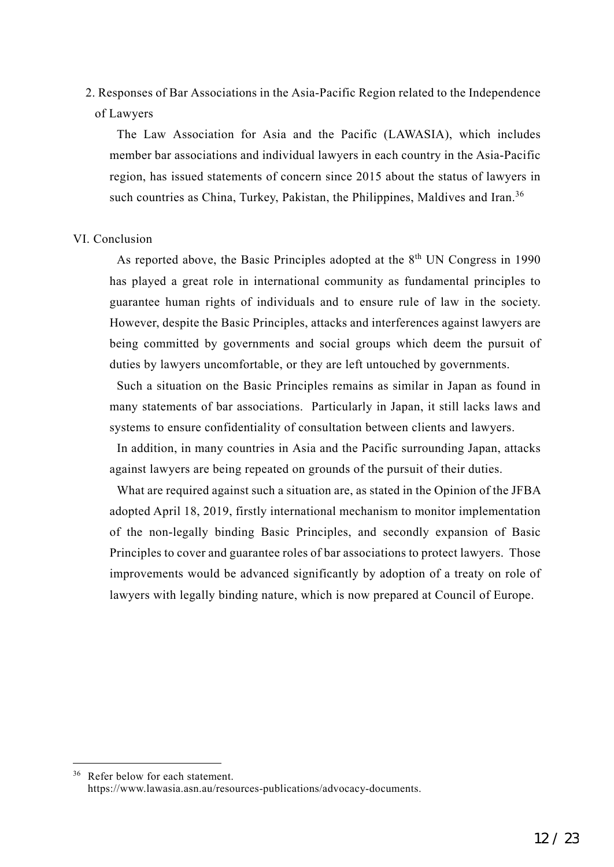2. Responses of Bar Associations in the Asia-Pacific Region related to the Independence of Lawyers

The Law Association for Asia and the Pacific (LAWASIA), which includes member bar associations and individual lawyers in each country in the Asia-Pacific region, has issued statements of concern since 2015 about the status of lawyers in such countries as China, Turkey, Pakistan, the Philippines, Maldives and Iran.<sup>36</sup>

#### VI. Conclusion

l,

As reported above, the Basic Principles adopted at the  $8<sup>th</sup>$  UN Congress in 1990 has played a great role in international community as fundamental principles to guarantee human rights of individuals and to ensure rule of law in the society. However, despite the Basic Principles, attacks and interferences against lawyers are being committed by governments and social groups which deem the pursuit of duties by lawyers uncomfortable, or they are left untouched by governments.

Such a situation on the Basic Principles remains as similar in Japan as found in many statements of bar associations. Particularly in Japan, it still lacks laws and systems to ensure confidentiality of consultation between clients and lawyers.

In addition, in many countries in Asia and the Pacific surrounding Japan, attacks against lawyers are being repeated on grounds of the pursuit of their duties.

What are required against such a situation are, as stated in the Opinion of the JFBA adopted April 18, 2019, firstly international mechanism to monitor implementation of the non-legally binding Basic Principles, and secondly expansion of Basic Principles to cover and guarantee roles of bar associations to protect lawyers. Those improvements would be advanced significantly by adoption of a treaty on role of lawyers with legally binding nature, which is now prepared at Council of Europe.

<sup>&</sup>lt;sup>36</sup> Refer below for each statement. https://www.lawasia.asn.au/resources-publications/advocacy-documents.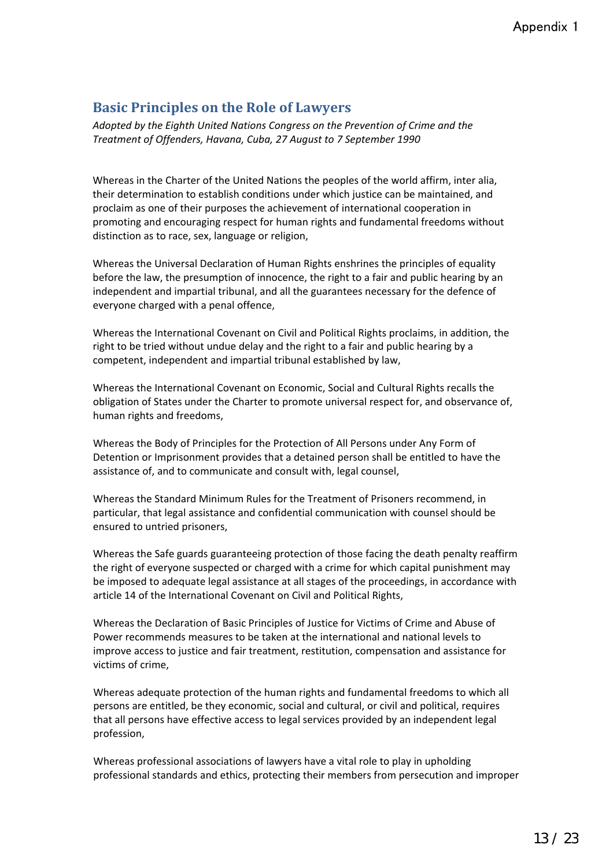### **Basic Principles on the Role of Lawyers**

*Adopted by the Eighth United Nations Congress on the Prevention of Crime and the Treatment of Offenders, Havana, Cuba, 27 August to 7 September 1990*

Whereas in the Charter of the United Nations the peoples of the world affirm, inter alia, their determination to establish conditions under which justice can be maintained, and proclaim as one of their purposes the achievement of international cooperation in promoting and encouraging respect for human rights and fundamental freedoms without distinction as to race, sex, language or religion,

Whereas the Universal Declaration of Human Rights enshrines the principles of equality before the law, the presumption of innocence, the right to a fair and public hearing by an independent and impartial tribunal, and all the guarantees necessary for the defence of everyone charged with a penal offence,

Whereas the International Covenant on Civil and Political Rights proclaims, in addition, the right to be tried without undue delay and the right to a fair and public hearing by a competent, independent and impartial tribunal established by law,

Whereas the International Covenant on Economic, Social and Cultural Rights recalls the obligation of States under the Charter to promote universal respect for, and observance of, human rights and freedoms,

Whereas the Body of Principles for the Protection of All Persons under Any Form of Detention or Imprisonment provides that a detained person shall be entitled to have the assistance of, and to communicate and consult with, legal counsel,

Whereas the Standard Minimum Rules for the Treatment of Prisoners recommend, in particular, that legal assistance and confidential communication with counsel should be ensured to untried prisoners,

Whereas the Safe guards guaranteeing protection of those facing the death penalty reaffirm the right of everyone suspected or charged with a crime for which capital punishment may be imposed to adequate legal assistance at all stages of the proceedings, in accordance with article 14 of the International Covenant on Civil and Political Rights,

Whereas the Declaration of Basic Principles of Justice for Victims of Crime and Abuse of Power recommends measures to be taken at the international and national levels to improve access to justice and fair treatment, restitution, compensation and assistance for victims of crime,

Whereas adequate protection of the human rights and fundamental freedoms to which all persons are entitled, be they economic, social and cultural, or civil and political, requires that all persons have effective access to legal services provided by an independent legal profession,

Whereas professional associations of lawyers have a vital role to play in upholding professional standards and ethics, protecting their members from persecution and improper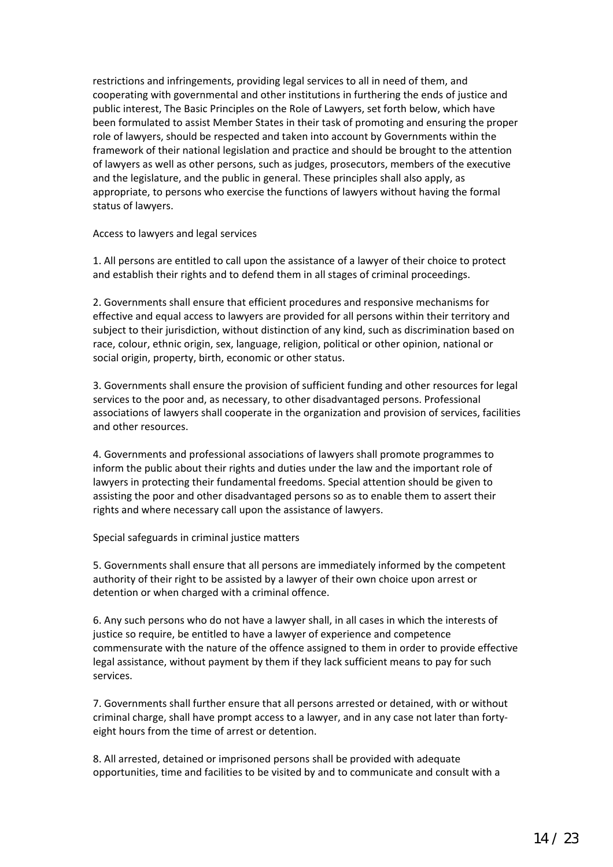restrictions and infringements, providing legal services to all in need of them, and cooperating with governmental and other institutions in furthering the ends of justice and public interest, The Basic Principles on the Role of Lawyers, set forth below, which have been formulated to assist Member States in their task of promoting and ensuring the proper role of lawyers, should be respected and taken into account by Governments within the framework of their national legislation and practice and should be brought to the attention of lawyers as well as other persons, such as judges, prosecutors, members of the executive and the legislature, and the public in general. These principles shall also apply, as appropriate, to persons who exercise the functions of lawyers without having the formal status of lawyers.

Access to lawyers and legal services

1. All persons are entitled to call upon the assistance of a lawyer of their choice to protect and establish their rights and to defend them in all stages of criminal proceedings.

2. Governments shall ensure that efficient procedures and responsive mechanisms for effective and equal access to lawyers are provided for all persons within their territory and subject to their jurisdiction, without distinction of any kind, such as discrimination based on race, colour, ethnic origin, sex, language, religion, political or other opinion, national or social origin, property, birth, economic or other status.

3. Governments shall ensure the provision of sufficient funding and other resources for legal services to the poor and, as necessary, to other disadvantaged persons. Professional associations of lawyers shall cooperate in the organization and provision of services, facilities and other resources.

4. Governments and professional associations of lawyers shall promote programmes to inform the public about their rights and duties under the law and the important role of lawyers in protecting their fundamental freedoms. Special attention should be given to assisting the poor and other disadvantaged persons so as to enable them to assert their rights and where necessary call upon the assistance of lawyers.

Special safeguards in criminal justice matters

5. Governments shall ensure that all persons are immediately informed by the competent authority of their right to be assisted by a lawyer of their own choice upon arrest or detention or when charged with a criminal offence.

6. Any such persons who do not have a lawyer shall, in all cases in which the interests of justice so require, be entitled to have a lawyer of experience and competence commensurate with the nature of the offence assigned to them in order to provide effective legal assistance, without payment by them if they lack sufficient means to pay for such services.

7. Governments shall further ensure that all persons arrested or detained, with or without criminal charge, shall have prompt access to a lawyer, and in any case not later than forty‐ eight hours from the time of arrest or detention.

8. All arrested, detained or imprisoned persons shall be provided with adequate opportunities, time and facilities to be visited by and to communicate and consult with a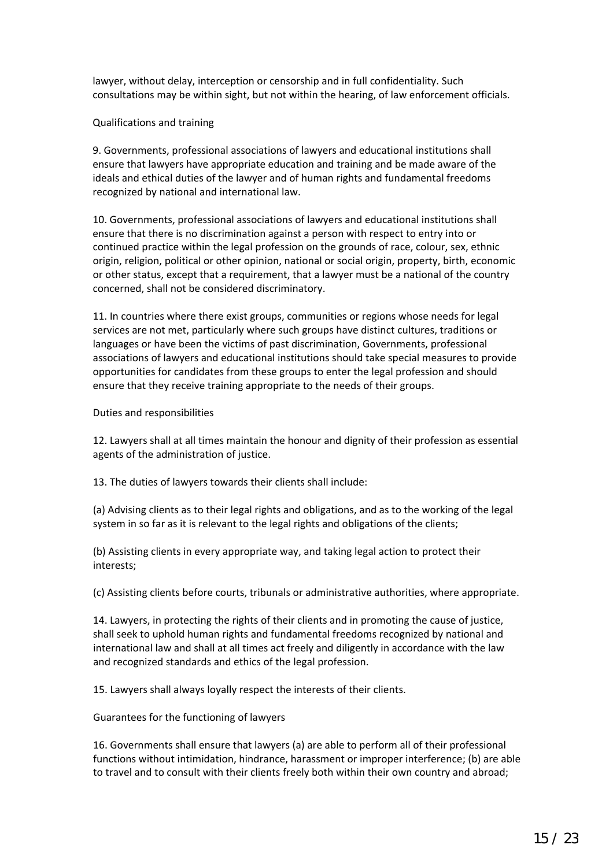lawyer, without delay, interception or censorship and in full confidentiality. Such consultations may be within sight, but not within the hearing, of law enforcement officials.

#### Qualifications and training

9. Governments, professional associations of lawyers and educational institutions shall ensure that lawyers have appropriate education and training and be made aware of the ideals and ethical duties of the lawyer and of human rights and fundamental freedoms recognized by national and international law.

10. Governments, professional associations of lawyers and educational institutions shall ensure that there is no discrimination against a person with respect to entry into or continued practice within the legal profession on the grounds of race, colour, sex, ethnic origin, religion, political or other opinion, national or social origin, property, birth, economic or other status, except that a requirement, that a lawyer must be a national of the country concerned, shall not be considered discriminatory.

11. In countries where there exist groups, communities or regions whose needs for legal services are not met, particularly where such groups have distinct cultures, traditions or languages or have been the victims of past discrimination, Governments, professional associations of lawyers and educational institutions should take special measures to provide opportunities for candidates from these groups to enter the legal profession and should ensure that they receive training appropriate to the needs of their groups.

Duties and responsibilities

12. Lawyers shall at all times maintain the honour and dignity of their profession as essential agents of the administration of justice.

13. The duties of lawyers towards their clients shall include:

(a) Advising clients as to their legal rights and obligations, and as to the working of the legal system in so far as it is relevant to the legal rights and obligations of the clients;

(b) Assisting clients in every appropriate way, and taking legal action to protect their interests;

(c) Assisting clients before courts, tribunals or administrative authorities, where appropriate.

14. Lawyers, in protecting the rights of their clients and in promoting the cause of justice, shall seek to uphold human rights and fundamental freedoms recognized by national and international law and shall at all times act freely and diligently in accordance with the law and recognized standards and ethics of the legal profession.

15. Lawyers shall always loyally respect the interests of their clients.

Guarantees for the functioning of lawyers

16. Governments shall ensure that lawyers (a) are able to perform all of their professional functions without intimidation, hindrance, harassment or improper interference; (b) are able to travel and to consult with their clients freely both within their own country and abroad;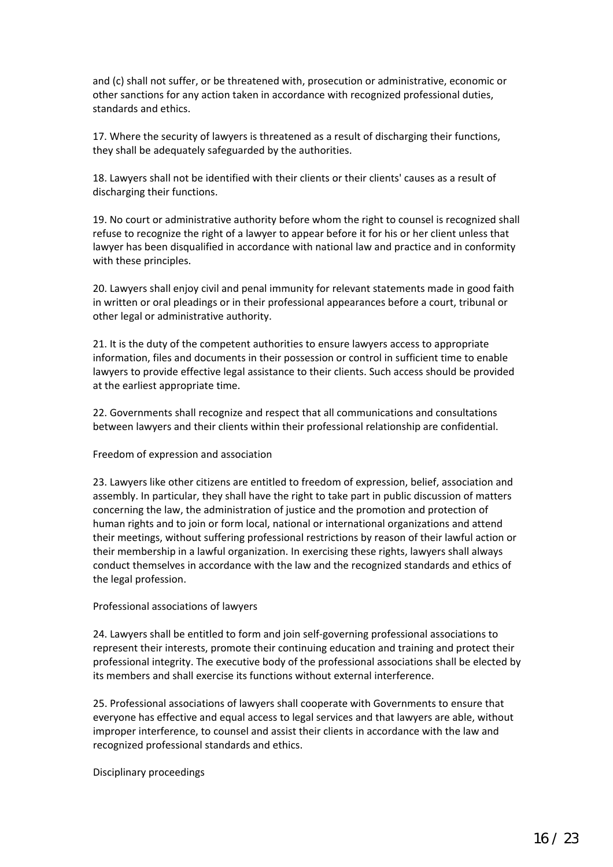and (c) shall not suffer, or be threatened with, prosecution or administrative, economic or other sanctions for any action taken in accordance with recognized professional duties, standards and ethics.

17. Where the security of lawyers is threatened as a result of discharging their functions, they shall be adequately safeguarded by the authorities.

18. Lawyers shall not be identified with their clients or their clients' causes as a result of discharging their functions.

19. No court or administrative authority before whom the right to counsel is recognized shall refuse to recognize the right of a lawyer to appear before it for his or her client unless that lawyer has been disqualified in accordance with national law and practice and in conformity with these principles.

20. Lawyers shall enjoy civil and penal immunity for relevant statements made in good faith in written or oral pleadings or in their professional appearances before a court, tribunal or other legal or administrative authority.

21. It is the duty of the competent authorities to ensure lawyers access to appropriate information, files and documents in their possession or control in sufficient time to enable lawyers to provide effective legal assistance to their clients. Such access should be provided at the earliest appropriate time.

22. Governments shall recognize and respect that all communications and consultations between lawyers and their clients within their professional relationship are confidential.

Freedom of expression and association

23. Lawyers like other citizens are entitled to freedom of expression, belief, association and assembly. In particular, they shall have the right to take part in public discussion of matters concerning the law, the administration of justice and the promotion and protection of human rights and to join or form local, national or international organizations and attend their meetings, without suffering professional restrictions by reason of their lawful action or their membership in a lawful organization. In exercising these rights, lawyers shall always conduct themselves in accordance with the law and the recognized standards and ethics of the legal profession.

Professional associations of lawyers

24. Lawyers shall be entitled to form and join self‐governing professional associations to represent their interests, promote their continuing education and training and protect their professional integrity. The executive body of the professional associations shall be elected by its members and shall exercise its functions without external interference.

25. Professional associations of lawyers shall cooperate with Governments to ensure that everyone has effective and equal access to legal services and that lawyers are able, without improper interference, to counsel and assist their clients in accordance with the law and recognized professional standards and ethics.

Disciplinary proceedings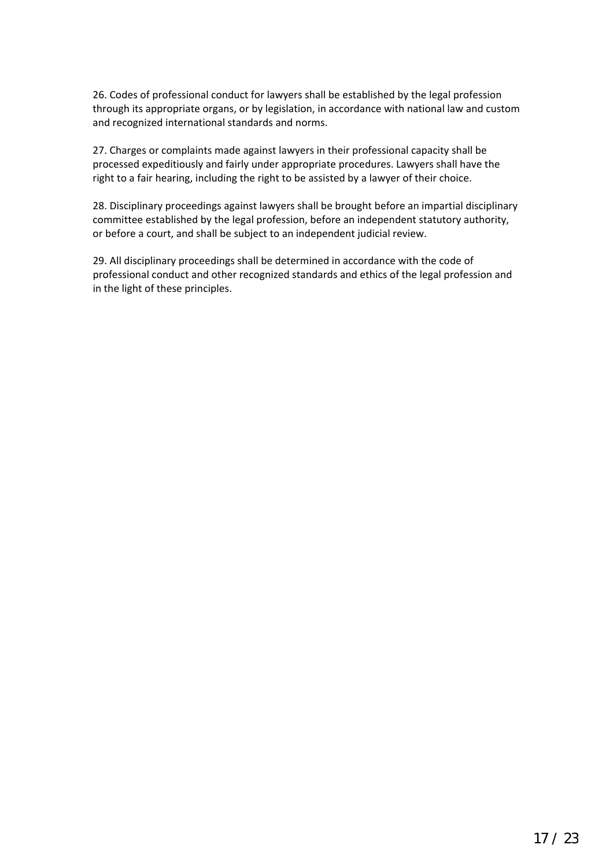26. Codes of professional conduct for lawyers shall be established by the legal profession through its appropriate organs, or by legislation, in accordance with national law and custom and recognized international standards and norms.

27. Charges or complaints made against lawyers in their professional capacity shall be processed expeditiously and fairly under appropriate procedures. Lawyers shall have the right to a fair hearing, including the right to be assisted by a lawyer of their choice.

28. Disciplinary proceedings against lawyers shall be brought before an impartial disciplinary committee established by the legal profession, before an independent statutory authority, or before a court, and shall be subject to an independent judicial review.

29. All disciplinary proceedings shall be determined in accordance with the code of professional conduct and other recognized standards and ethics of the legal profession and in the light of these principles.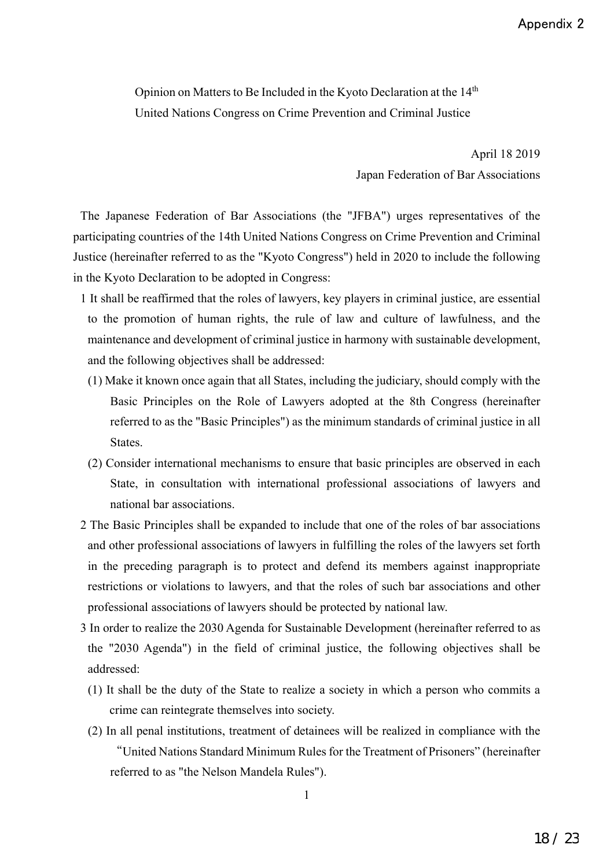Opinion on Matters to Be Included in the Kyoto Declaration at the  $14<sup>th</sup>$ United Nations Congress on Crime Prevention and Criminal Justice

> April 18 2019 Japan Federation of Bar Associations

The Japanese Federation of Bar Associations (the "JFBA") urges representatives of the participating countries of the 14th United Nations Congress on Crime Prevention and Criminal Justice (hereinafter referred to as the "Kyoto Congress") held in 2020 to include the following in the Kyoto Declaration to be adopted in Congress:

- 1 It shall be reaffirmed that the roles of lawyers, key players in criminal justice, are essential to the promotion of human rights, the rule of law and culture of lawfulness, and the maintenance and development of criminal justice in harmony with sustainable development, and the following objectives shall be addressed:
	- (1) Make it known once again that all States, including the judiciary, should comply with the Basic Principles on the Role of Lawyers adopted at the 8th Congress (hereinafter referred to as the "Basic Principles") as the minimum standards of criminal justice in all States.
	- (2) Consider international mechanisms to ensure that basic principles are observed in each State, in consultation with international professional associations of lawyers and national bar associations.
- 2 The Basic Principles shall be expanded to include that one of the roles of bar associations and other professional associations of lawyers in fulfilling the roles of the lawyers set forth in the preceding paragraph is to protect and defend its members against inappropriate restrictions or violations to lawyers, and that the roles of such bar associations and other professional associations of lawyers should be protected by national law.
- 3 In order to realize the 2030 Agenda for Sustainable Development (hereinafter referred to as the "2030 Agenda") in the field of criminal justice, the following objectives shall be addressed:
	- (1) It shall be the duty of the State to realize a society in which a person who commits a crime can reintegrate themselves into society.
	- (2) In all penal institutions, treatment of detainees will be realized in compliance with the "United Nations Standard Minimum Rules for the Treatment of Prisoners" (hereinafter referred to as "the Nelson Mandela Rules").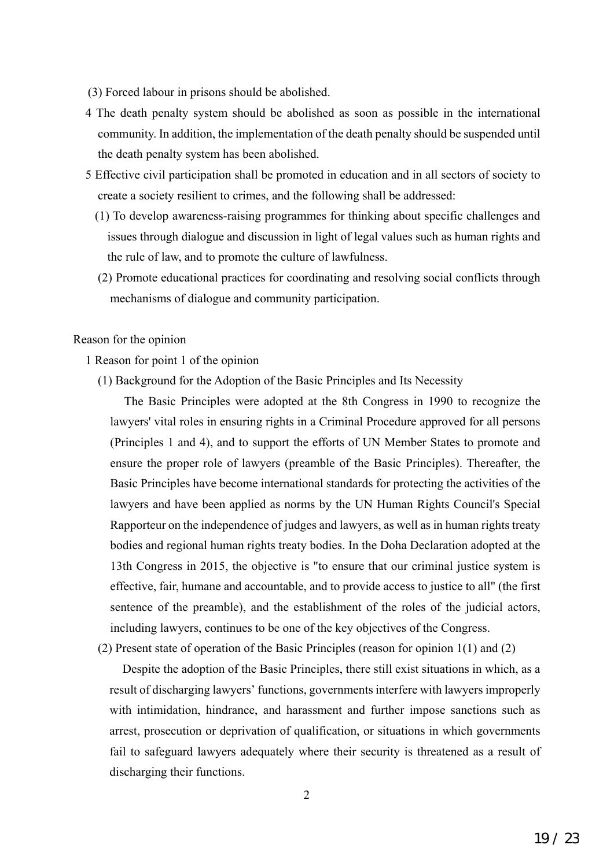(3) Forced labour in prisons should be abolished.

- 4 The death penalty system should be abolished as soon as possible in the international community. In addition, the implementation of the death penalty should be suspended until the death penalty system has been abolished.
- 5 Effective civil participation shall be promoted in education and in all sectors of society to create a society resilient to crimes, and the following shall be addressed:
	- (1) To develop awareness-raising programmes for thinking about specific challenges and issues through dialogue and discussion in light of legal values such as human rights and the rule of law, and to promote the culture of lawfulness.
	- (2) Promote educational practices for coordinating and resolving social conflicts through mechanisms of dialogue and community participation.

Reason for the opinion

1 Reason for point 1 of the opinion

(1) Background for the Adoption of the Basic Principles and Its Necessity

The Basic Principles were adopted at the 8th Congress in 1990 to recognize the lawyers' vital roles in ensuring rights in a Criminal Procedure approved for all persons (Principles 1 and 4), and to support the efforts of UN Member States to promote and ensure the proper role of lawyers (preamble of the Basic Principles). Thereafter, the Basic Principles have become international standards for protecting the activities of the lawyers and have been applied as norms by the UN Human Rights Council's Special Rapporteur on the independence of judges and lawyers, as well as in human rights treaty bodies and regional human rights treaty bodies. In the Doha Declaration adopted at the 13th Congress in 2015, the objective is "to ensure that our criminal justice system is effective, fair, humane and accountable, and to provide access to justice to all" (the first sentence of the preamble), and the establishment of the roles of the judicial actors, including lawyers, continues to be one of the key objectives of the Congress.

(2) Present state of operation of the Basic Principles (reason for opinion 1(1) and (2)

Despite the adoption of the Basic Principles, there still exist situations in which, as a result of discharging lawyers' functions, governments interfere with lawyers improperly with intimidation, hindrance, and harassment and further impose sanctions such as arrest, prosecution or deprivation of qualification, or situations in which governments fail to safeguard lawyers adequately where their security is threatened as a result of discharging their functions.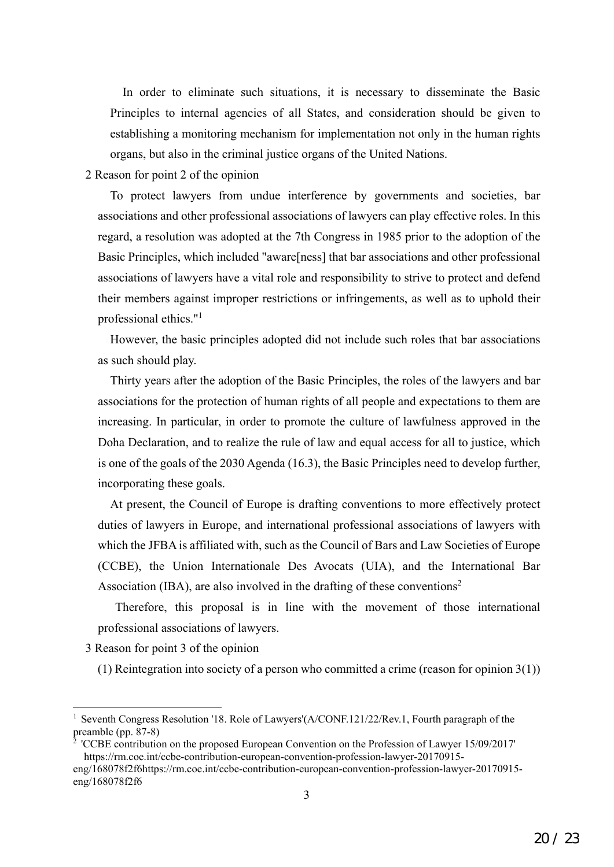In order to eliminate such situations, it is necessary to disseminate the Basic Principles to internal agencies of all States, and consideration should be given to establishing a monitoring mechanism for implementation not only in the human rights organs, but also in the criminal justice organs of the United Nations.

2 Reason for point 2 of the opinion

To protect lawyers from undue interference by governments and societies, bar associations and other professional associations of lawyers can play effective roles. In this regard, a resolution was adopted at the 7th Congress in 1985 prior to the adoption of the Basic Principles, which included "aware[ness] that bar associations and other professional associations of lawyers have a vital role and responsibility to strive to protect and defend their members against improper restrictions or infringements, as well as to uphold their professional ethics."1

However, the basic principles adopted did not include such roles that bar associations as such should play.

Thirty years after the adoption of the Basic Principles, the roles of the lawyers and bar associations for the protection of human rights of all people and expectations to them are increasing. In particular, in order to promote the culture of lawfulness approved in the Doha Declaration, and to realize the rule of law and equal access for all to justice, which is one of the goals of the 2030 Agenda (16.3), the Basic Principles need to develop further, incorporating these goals.

At present, the Council of Europe is drafting conventions to more effectively protect duties of lawyers in Europe, and international professional associations of lawyers with which the JFBA is affiliated with, such as the Council of Bars and Law Societies of Europe (CCBE), the Union Internationale Des Avocats (UIA), and the International Bar Association (IBA), are also involved in the drafting of these conventions<sup>2</sup>

 Therefore, this proposal is in line with the movement of those international professional associations of lawyers.

3 Reason for point 3 of the opinion

(1) Reintegration into society of a person who committed a crime (reason for opinion 3(1))

 1 Seventh Congress Resolution '18. Role of Lawyers'(A/CONF.121/22/Rev.1, Fourth paragraph of the preamble (pp.  $\overline{8}7-8$ )

<sup>2</sup> 'CCBE contribution on the proposed European Convention on the Profession of Lawyer 15/09/2017' https://rm.coe.int/ccbe-contribution-european-convention-profession-lawyer-20170915-

eng/168078f2f6https://rm.coe.int/ccbe-contribution-european-convention-profession-lawyer-20170915 eng/168078f2f6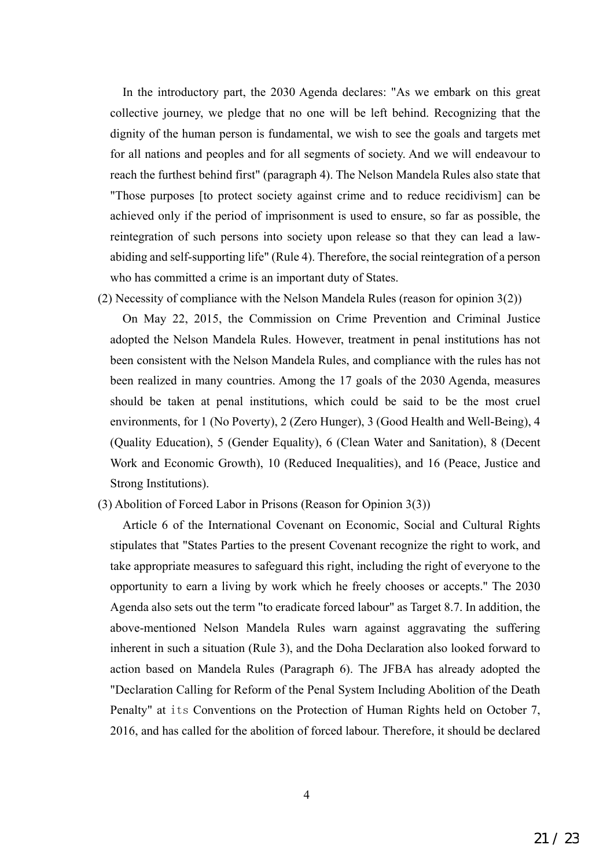In the introductory part, the 2030 Agenda declares: "As we embark on this great collective journey, we pledge that no one will be left behind. Recognizing that the dignity of the human person is fundamental, we wish to see the goals and targets met for all nations and peoples and for all segments of society. And we will endeavour to reach the furthest behind first" (paragraph 4). The Nelson Mandela Rules also state that "Those purposes [to protect society against crime and to reduce recidivism] can be achieved only if the period of imprisonment is used to ensure, so far as possible, the reintegration of such persons into society upon release so that they can lead a lawabiding and self-supporting life" (Rule 4). Therefore, the social reintegration of a person who has committed a crime is an important duty of States.

(2) Necessity of compliance with the Nelson Mandela Rules (reason for opinion 3(2))

On May 22, 2015, the Commission on Crime Prevention and Criminal Justice adopted the Nelson Mandela Rules. However, treatment in penal institutions has not been consistent with the Nelson Mandela Rules, and compliance with the rules has not been realized in many countries. Among the 17 goals of the 2030 Agenda, measures should be taken at penal institutions, which could be said to be the most cruel environments, for 1 (No Poverty), 2 (Zero Hunger), 3 (Good Health and Well-Being), 4 (Quality Education), 5 (Gender Equality), 6 (Clean Water and Sanitation), 8 (Decent Work and Economic Growth), 10 (Reduced Inequalities), and 16 (Peace, Justice and Strong Institutions).

(3) Abolition of Forced Labor in Prisons (Reason for Opinion 3(3))

Article 6 of the International Covenant on Economic, Social and Cultural Rights stipulates that "States Parties to the present Covenant recognize the right to work, and take appropriate measures to safeguard this right, including the right of everyone to the opportunity to earn a living by work which he freely chooses or accepts." The 2030 Agenda also sets out the term "to eradicate forced labour" as Target 8.7. In addition, the above-mentioned Nelson Mandela Rules warn against aggravating the suffering inherent in such a situation (Rule 3), and the Doha Declaration also looked forward to action based on Mandela Rules (Paragraph 6). The JFBA has already adopted the "Declaration Calling for Reform of the Penal System Including Abolition of the Death Penalty" at its Conventions on the Protection of Human Rights held on October 7, 2016, and has called for the abolition of forced labour. Therefore, it should be declared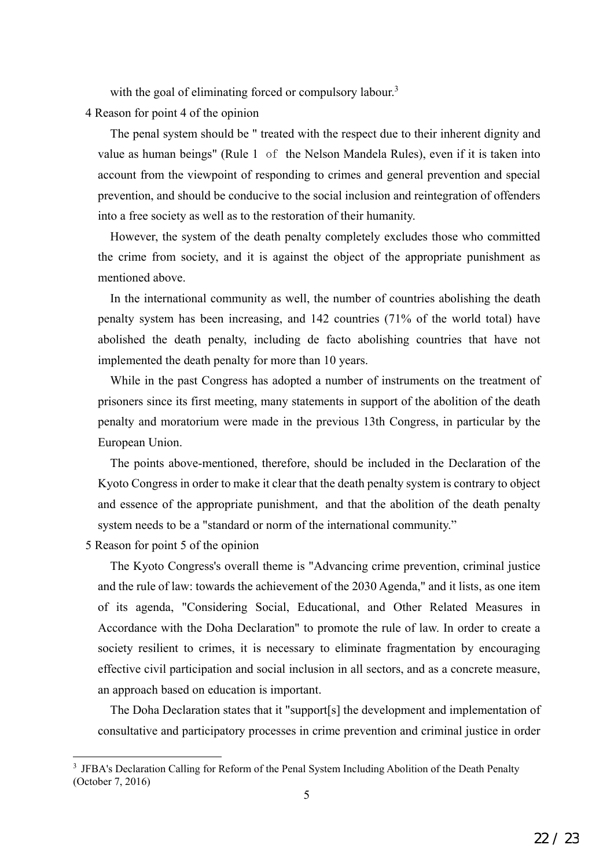with the goal of eliminating forced or compulsory labour.<sup>3</sup>

4 Reason for point 4 of the opinion

The penal system should be " treated with the respect due to their inherent dignity and value as human beings" (Rule 1 of the Nelson Mandela Rules), even if it is taken into account from the viewpoint of responding to crimes and general prevention and special prevention, and should be conducive to the social inclusion and reintegration of offenders into a free society as well as to the restoration of their humanity.

However, the system of the death penalty completely excludes those who committed the crime from society, and it is against the object of the appropriate punishment as mentioned above.

In the international community as well, the number of countries abolishing the death penalty system has been increasing, and 142 countries (71% of the world total) have abolished the death penalty, including de facto abolishing countries that have not implemented the death penalty for more than 10 years.

While in the past Congress has adopted a number of instruments on the treatment of prisoners since its first meeting, many statements in support of the abolition of the death penalty and moratorium were made in the previous 13th Congress, in particular by the European Union.

The points above-mentioned, therefore, should be included in the Declaration of the Kyoto Congress in order to make it clear that the death penalty system is contrary to object and essence of the appropriate punishment, and that the abolition of the death penalty system needs to be a "standard or norm of the international community."

5 Reason for point 5 of the opinion

1

The Kyoto Congress's overall theme is "Advancing crime prevention, criminal justice and the rule of law: towards the achievement of the 2030 Agenda," and it lists, as one item of its agenda, "Considering Social, Educational, and Other Related Measures in Accordance with the Doha Declaration" to promote the rule of law. In order to create a society resilient to crimes, it is necessary to eliminate fragmentation by encouraging effective civil participation and social inclusion in all sectors, and as a concrete measure, an approach based on education is important.

The Doha Declaration states that it "support[s] the development and implementation of consultative and participatory processes in crime prevention and criminal justice in order

<sup>&</sup>lt;sup>3</sup> JFBA's Declaration Calling for Reform of the Penal System Including Abolition of the Death Penalty (October 7, 2016)